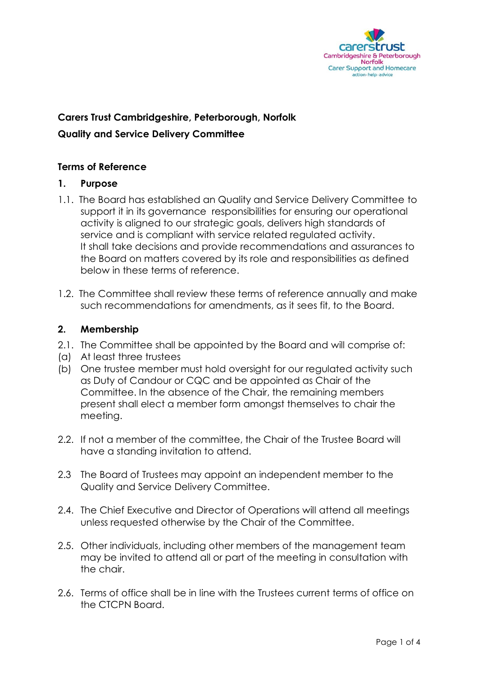

# **Carers Trust Cambridgeshire, Peterborough, Norfolk Quality and Service Delivery Committee**

### **Terms of Reference**

### **1. Purpose**

- 1.1. The Board has established an Quality and Service Delivery Committee to support it in its governance responsibilities for ensuring our operational activity is aligned to our strategic goals, delivers high standards of service and is compliant with service related regulated activity. It shall take decisions and provide recommendations and assurances to the Board on matters covered by its role and responsibilities as defined below in these terms of reference.
- 1.2. The Committee shall review these terms of reference annually and make such recommendations for amendments, as it sees fit, to the Board.

### **2. Membership**

- 2.1. The Committee shall be appointed by the Board and will comprise of:
- (a) At least three trustees
- (b) One trustee member must hold oversight for our regulated activity such as Duty of Candour or CQC and be appointed as Chair of the Committee. In the absence of the Chair, the remaining members present shall elect a member form amongst themselves to chair the meeting.
- 2.2. If not a member of the committee, the Chair of the Trustee Board will have a standing invitation to attend.
- 2.3 The Board of Trustees may appoint an independent member to the Quality and Service Delivery Committee.
- 2.4. The Chief Executive and Director of Operations will attend all meetings unless requested otherwise by the Chair of the Committee.
- 2.5. Other individuals, including other members of the management team may be invited to attend all or part of the meeting in consultation with the chair.
- 2.6. Terms of office shall be in line with the Trustees current terms of office on the CTCPN Board.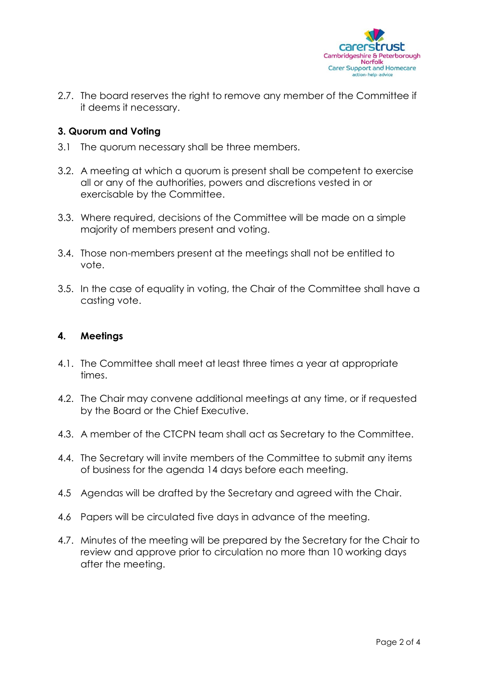

2.7. The board reserves the right to remove any member of the Committee if it deems it necessary.

### **3. Quorum and Voting**

- 3.1 The quorum necessary shall be three members.
- 3.2. A meeting at which a quorum is present shall be competent to exercise all or any of the authorities, powers and discretions vested in or exercisable by the Committee.
- 3.3. Where required, decisions of the Committee will be made on a simple majority of members present and voting.
- 3.4. Those non-members present at the meetings shall not be entitled to vote.
- 3.5. In the case of equality in voting, the Chair of the Committee shall have a casting vote.

### **4. Meetings**

- 4.1. The Committee shall meet at least three times a year at appropriate times.
- 4.2. The Chair may convene additional meetings at any time, or if requested by the Board or the Chief Executive.
- 4.3. A member of the CTCPN team shall act as Secretary to the Committee.
- 4.4. The Secretary will invite members of the Committee to submit any items of business for the agenda 14 days before each meeting.
- 4.5 Agendas will be drafted by the Secretary and agreed with the Chair.
- 4.6 Papers will be circulated five days in advance of the meeting.
- 4.7. Minutes of the meeting will be prepared by the Secretary for the Chair to review and approve prior to circulation no more than 10 working days after the meeting.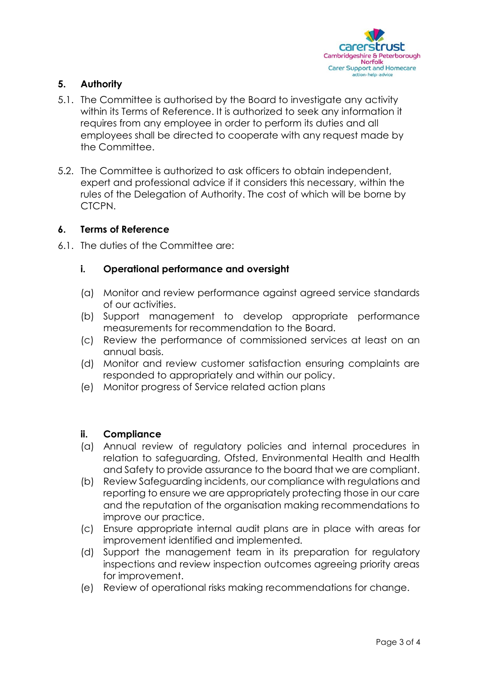

## **5. Authority**

- 5.1. The Committee is authorised by the Board to investigate any activity within its Terms of Reference. It is authorized to seek any information it requires from any employee in order to perform its duties and all employees shall be directed to cooperate with any request made by the Committee.
- 5.2. The Committee is authorized to ask officers to obtain independent, expert and professional advice if it considers this necessary, within the rules of the Delegation of Authority. The cost of which will be borne by CTCPN.

### **6. Terms of Reference**

6.1. The duties of the Committee are:

### **i. Operational performance and oversight**

- (a) Monitor and review performance against agreed service standards of our activities.
- (b) Support management to develop appropriate performance measurements for recommendation to the Board.
- (c) Review the performance of commissioned services at least on an annual basis.
- (d) Monitor and review customer satisfaction ensuring complaints are responded to appropriately and within our policy.
- (e) Monitor progress of Service related action plans

### **ii. Compliance**

- (a) Annual review of regulatory policies and internal procedures in relation to safeguarding, Ofsted, Environmental Health and Health and Safety to provide assurance to the board that we are compliant.
- (b) Review Safeguarding incidents, our compliance with regulations and reporting to ensure we are appropriately protecting those in our care and the reputation of the organisation making recommendations to improve our practice.
- (c) Ensure appropriate internal audit plans are in place with areas for improvement identified and implemented.
- (d) Support the management team in its preparation for regulatory inspections and review inspection outcomes agreeing priority areas for improvement.
- (e) Review of operational risks making recommendations for change.